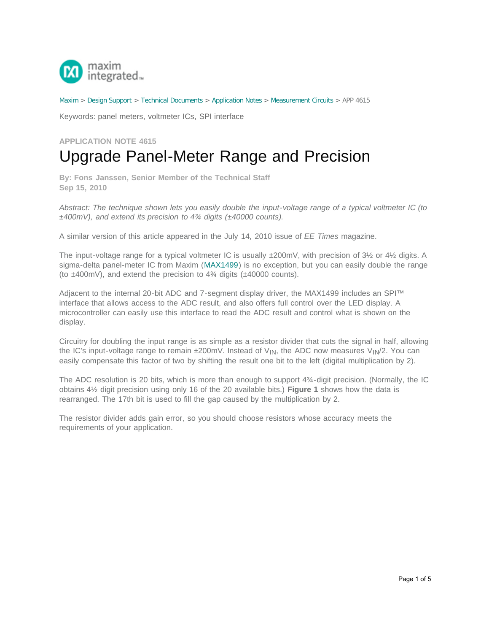

[Maxim](http://www.maximintegrated.com/) > [Design Support](http://www.maximintegrated.com/design/) > [Technical Documents](http://www.maximintegrated.com/design/techdocs/) > [Application Notes](http://www.maximintegrated.com/design/techdocs/app-notes/index.mvp) > [Measurement Circuits](http://www.maximintegrated.com/design/techdocs/app-notes/index.mvp/id/15/c/Measurement%20Circuits#c15) > APP 4615

Keywords: panel meters, voltmeter ICs, SPI interface

**APPLICATION NOTE 4615**

## Upgrade Panel-Meter Range and Precision

**By: Fons Janssen, Senior Member of the Technical Staff Sep 15, 2010**

*Abstract: The technique shown lets you easily double the input-voltage range of a typical voltmeter IC (to ±400mV), and extend its precision to 4¾ digits (±40000 counts).*

A similar version of this article appeared in the July 14, 2010 issue of *EE Times* magazine.

The input-voltage range for a typical voltmeter IC is usually  $\pm 200$ mV, with precision of 3½ or 4½ digits. A sigma-delta panel-meter IC from Maxim ([MAX1499\)](http://www.maximintegrated.com/MAX1499) is no exception, but you can easily double the range (to  $\pm$ 400mV), and extend the precision to 4 $\frac{3}{4}$  digits ( $\pm$ 40000 counts).

Adjacent to the internal 20-bit ADC and 7-segment display driver, the MAX1499 includes an SPI™ interface that allows access to the ADC result, and also offers full control over the LED display. A microcontroller can easily use this interface to read the ADC result and control what is shown on the display.

Circuitry for doubling the input range is as simple as a resistor divider that cuts the signal in half, allowing the IC's input-voltage range to remain  $\pm 200$ mV. Instead of V<sub>IN</sub>, the ADC now measures V<sub>IN</sub>/2. You can easily compensate this factor of two by shifting the result one bit to the left (digital multiplication by 2).

The ADC resolution is 20 bits, which is more than enough to support 4¾-digit precision. (Normally, the IC obtains 4½ digit precision using only 16 of the 20 available bits.) **Figure 1** shows how the data is rearranged. The 17th bit is used to fill the gap caused by the multiplication by 2.

The resistor divider adds gain error, so you should choose resistors whose accuracy meets the requirements of your application.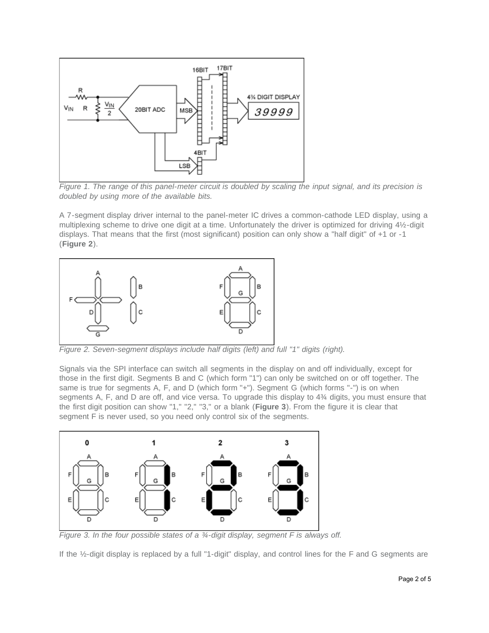

*Figure 1. The range of this panel-meter circuit is doubled by scaling the input signal, and its precision is doubled by using more of the available bits.*

A 7-segment display driver internal to the panel-meter IC drives a common-cathode LED display, using a multiplexing scheme to drive one digit at a time. Unfortunately the driver is optimized for driving 4½-digit displays. That means that the first (most significant) position can only show a "half digit" of +1 or -1 (**Figure 2**).



*Figure 2. Seven-segment displays include half digits (left) and full "1" digits (right).*

Signals via the SPI interface can switch all segments in the display on and off individually, except for those in the first digit. Segments B and C (which form "1") can only be switched on or off together. The same is true for segments A, F, and D (which form "+"). Segment G (which forms "-") is on when segments A, F, and D are off, and vice versa. To upgrade this display to 4¾ digits, you must ensure that the first digit position can show "1," "2," "3," or a blank (**Figure 3**). From the figure it is clear that segment F is never used, so you need only control six of the segments.



*Figure 3. In the four possible states of a ¾-digit display, segment F is always off.*

If the ½-digit display is replaced by a full "1-digit" display, and control lines for the F and G segments are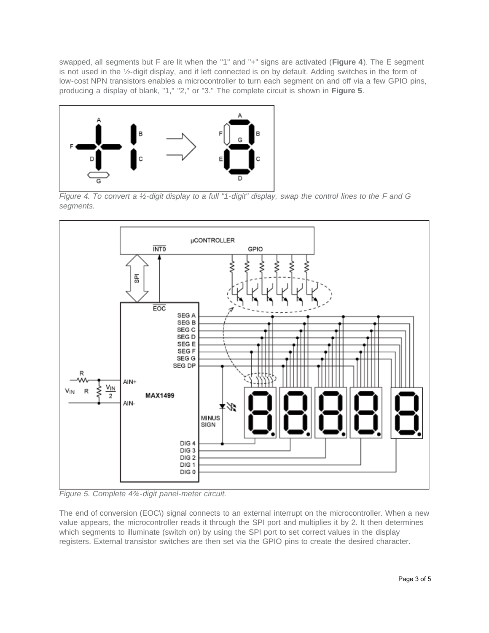swapped, all segments but F are lit when the "1" and "+" signs are activated (**Figure 4**). The E segment is not used in the ½-digit display, and if left connected is on by default. Adding switches in the form of low-cost NPN transistors enables a microcontroller to turn each segment on and off via a few GPIO pins, producing a display of blank, "1," "2," or "3." The complete circuit is shown in **Figure 5**.



*Figure 4. To convert a ½-digit display to a full "1-digit" display, swap the control lines to the F and G segments.*



*Figure 5. Complete 4¾-digit panel-meter circuit.*

The end of conversion (EOC\) signal connects to an external interrupt on the microcontroller. When a new value appears, the microcontroller reads it through the SPI port and multiplies it by 2. It then determines which segments to illuminate (switch on) by using the SPI port to set correct values in the display registers. External transistor switches are then set via the GPIO pins to create the desired character.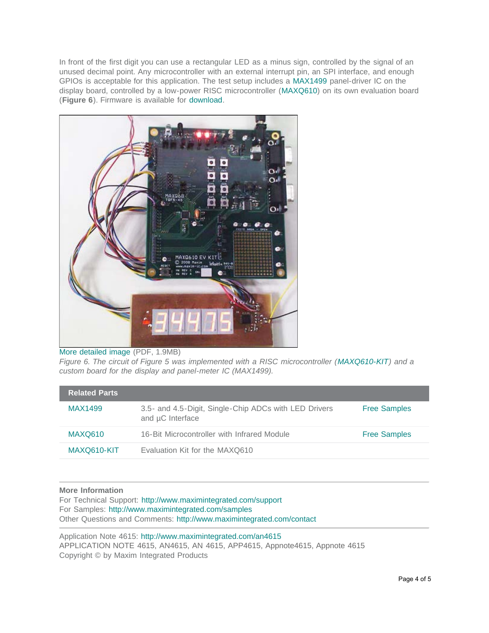In front of the first digit you can use a rectangular LED as a minus sign, controlled by the signal of an unused decimal point. Any microcontroller with an external interrupt pin, an SPI interface, and enough GPIOs is acceptable for this application. The test setup includes a [MAX1499](http://www.maximintegrated.com/MAX1499) panel-driver IC on the display board, controlled by a low-power RISC microcontroller ([MAXQ610\)](http://www.maximintegrated.com/MAXQ610) on its own evaluation board (**Figure 6**). Firmware is available for [download.](http://www.maximintegrated.com/an-4615-firmware)



## [More detailed image](http://www.maximintegrated.com/images/appnotes/4615/4615Fig06.pdf) (PDF, 1.9MB)

*Figure 6. The circuit of Figure 5 was implemented with a RISC microcontroller ([MAXQ610-KIT\)](http://www.maximintegrated.com/MAXQ610-KIT) and a custom board for the display and panel-meter IC (MAX1499).*

| <b>Related Parts</b> |                                                                           |                     |
|----------------------|---------------------------------------------------------------------------|---------------------|
| MAX1499              | 3.5- and 4.5-Digit, Single-Chip ADCs with LED Drivers<br>and µC Interface | <b>Free Samples</b> |
| <b>MAXQ610</b>       | 16-Bit Microcontroller with Infrared Module                               | <b>Free Samples</b> |
| MAXQ610-KIT          | Evaluation Kit for the MAXQ610                                            |                     |

## **More Information**

For Technical Support: <http://www.maximintegrated.com/support> For Samples: <http://www.maximintegrated.com/samples> Other Questions and Comments: <http://www.maximintegrated.com/contact>

Application Note 4615:<http://www.maximintegrated.com/an4615> APPLICATION NOTE 4615, AN4615, AN 4615, APP4615, Appnote4615, Appnote 4615 Copyright © by Maxim Integrated Products